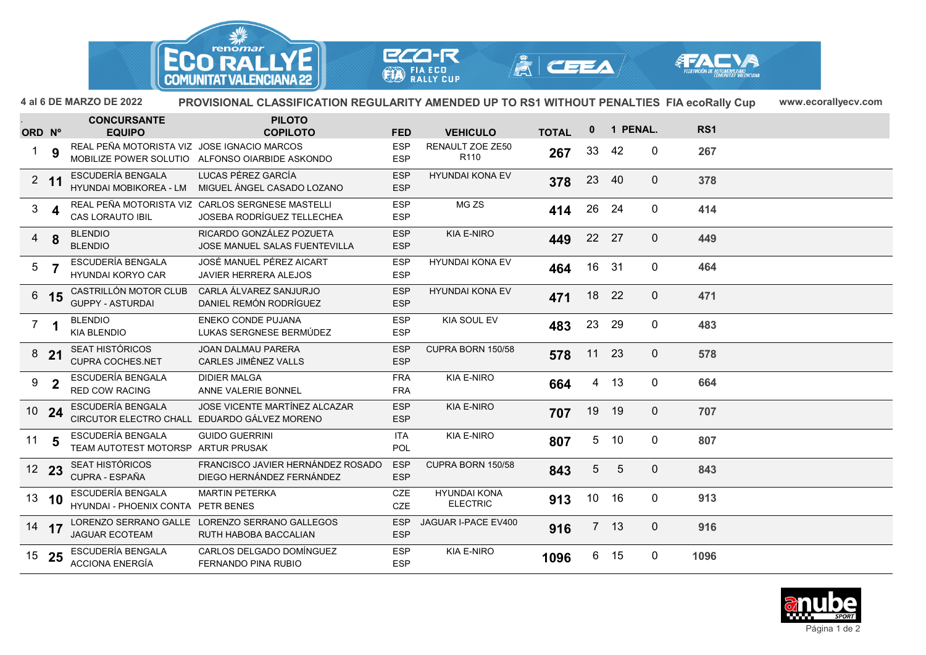

**ECO-R EXP FIA ECO**<br>RALLY CUP



 $|\mathbf{\mathring{A}}|$  ceea/

**4 al 6 DE MARZO DE 2022 www.ecorallyecv.comPROVISIONAL CLASSIFICATION REGULARITY AMENDED UP TO RS1 WITHOUT PENALTIES FIA ecoRally Cup**

| ORD Nº         |                         | <b>CONCURSANTE</b><br><b>EQUIPO</b>                     | <b>PILOTO</b><br><b>COPILOTO</b>                                               | <b>FED</b>               | <b>VEHICULO</b>                        | <b>TOTAL</b> | $\mathbf{0}$ |                 | 1 PENAL.         | RS1  |
|----------------|-------------------------|---------------------------------------------------------|--------------------------------------------------------------------------------|--------------------------|----------------------------------------|--------------|--------------|-----------------|------------------|------|
| 1.             | 9                       | REAL PEÑA MOTORISTA VIZ JOSE IGNACIO MARCOS             | MOBILIZE POWER SOLUTIO ALFONSO OIARBIDE ASKONDO                                | <b>ESP</b><br><b>ESP</b> | <b>RENAULT ZOE ZE50</b><br>R110        | 267          | 33           | 42              | $\mathbf 0$      | 267  |
|                | $2 \quad 11$            | ESCUDERÍA BENGALA<br><b>HYUNDAI MOBIKOREA - LM</b>      | LUCAS PÉREZ GARCÍA<br>MIGUEL ÁNGEL CASADO LOZANO                               | <b>ESP</b><br><b>ESP</b> | <b>HYUNDAI KONA EV</b>                 | 378          | 23           | -40             | $\mathbf 0$      | 378  |
| 3 <sup>7</sup> | 4                       | <b>CAS LORAUTO IBIL</b>                                 | REAL PEÑA MOTORISTA VIZ CARLOS SERGNESE MASTELLI<br>JOSEBA RODRÍGUEZ TELLECHEA | <b>ESP</b><br><b>ESP</b> | MG ZS                                  | 414          | 26           | 24              | $\mathbf 0$      | 414  |
|                | $4\quad$ 8              | <b>BLENDIO</b><br><b>BLENDIO</b>                        | RICARDO GONZÁLEZ POZUETA<br>JOSE MANUEL SALAS FUENTEVILLA                      | <b>ESP</b><br><b>ESP</b> | <b>KIA E-NIRO</b>                      | 449          | 22           | 27              | $\mathbf 0$      | 449  |
| 5 <sub>7</sub> |                         | ESCUDERÍA BENGALA<br><b>HYUNDAI KORYO CAR</b>           | JOSÉ MANUEL PÉREZ AICART<br><b>JAVIER HERRERA ALEJOS</b>                       | <b>ESP</b><br><b>ESP</b> | <b>HYUNDAI KONA EV</b>                 | 464          | 16           | 31              | 0                | 464  |
|                | 6 15                    | CASTRILLÓN MOTOR CLUB<br><b>GUPPY - ASTURDAI</b>        | CARLA ÁLVAREZ SANJURJO<br>DANIEL REMÓN RODRÍGUEZ                               | <b>ESP</b><br><b>ESP</b> | <b>HYUNDAI KONA EV</b>                 | 471          | 18           | 22              | $\mathbf 0$      | 471  |
| $7^{\circ}$    |                         | <b>BLENDIO</b><br><b>KIA BLENDIO</b>                    | <b>ENEKO CONDE PUJANA</b><br>LUKAS SERGNESE BERMÚDEZ                           | <b>ESP</b><br><b>ESP</b> | <b>KIA SOUL EV</b>                     | 483          | 23           | 29              | $\boldsymbol{0}$ | 483  |
|                | 8 <sub>21</sub>         | <b>SEAT HISTÓRICOS</b><br><b>CUPRA COCHES.NET</b>       | <b>JOAN DALMAU PARERA</b><br><b>CARLES JIMÈNEZ VALLS</b>                       | <b>ESP</b><br><b>ESP</b> | CUPRA BORN 150/58                      | 578          | 11           | 23              | $\mathbf 0$      | 578  |
| 9              | $\overline{\mathbf{2}}$ | ESCUDERÍA BENGALA<br><b>RED COW RACING</b>              | <b>DIDIER MALGA</b><br>ANNE VALERIE BONNEL                                     | <b>FRA</b><br><b>FRA</b> | KIA E-NIRO                             | 664          | 4            | 13              | $\mathbf 0$      | 664  |
| $10^{24}$      |                         | ESCUDERÍA BENGALA                                       | JOSE VICENTE MARTÍNEZ ALCAZAR<br>CIRCUTOR ELECTRO CHALL EDUARDO GÁLVEZ MORENO  | <b>ESP</b><br><b>ESP</b> | <b>KIA E-NIRO</b>                      | 707          | 19           | 19              | $\mathbf 0$      | 707  |
| 11             | - 5                     | ESCUDERÍA BENGALA<br>TEAM AUTOTEST MOTORSP              | <b>GUIDO GUERRINI</b><br><b>ARTUR PRUSAK</b>                                   | <b>ITA</b><br>POL        | <b>KIA E-NIRO</b>                      | 807          | 5            | 10              | $\boldsymbol{0}$ | 807  |
| 12 23          |                         | <b>SEAT HISTÓRICOS</b><br>CUPRA - ESPAÑA                | FRANCISCO JAVIER HERNÁNDEZ ROSADO<br>DIEGO HERNÁNDEZ FERNÁNDEZ                 | <b>ESP</b><br><b>ESP</b> | CUPRA BORN 150/58                      | 843          | 5            | 5               | $\mathbf 0$      | 843  |
| 13, 10         |                         | ESCUDERÍA BENGALA<br>HYUNDAI - PHOENIX CONTA PETR BENES | <b>MARTIN PETERKA</b>                                                          | <b>CZE</b><br>CZE        | <b>HYUNDAI KONA</b><br><b>ELECTRIC</b> | 913          | 10           | 16              | 0                | 913  |
| $14$ 17        |                         | <b>JAGUAR ECOTEAM</b>                                   | LORENZO SERRANO GALLE LORENZO SERRANO GALLEGOS<br>RUTH HABOBA BACCALIAN        | <b>ESP</b><br><b>ESP</b> | JAGUAR I-PACE EV400                    | 916          |              | 7 <sub>13</sub> | $\mathbf 0$      | 916  |
| $15$ 25        |                         | ESCUDERÍA BENGALA<br><b>ACCIONA ENERGÍA</b>             | CARLOS DELGADO DOMÍNGUEZ<br>FERNANDO PINA RUBIO                                | <b>ESP</b><br><b>ESP</b> | <b>KIA E-NIRO</b>                      | 1096         | 6            | 15              | 0                | 1096 |